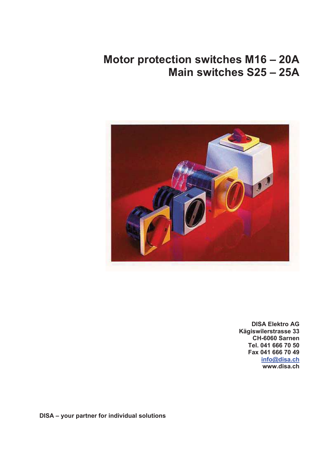# **Motor protection switches M16 – 20A Main switches S25 – 25A**



**DISA Elektro AG Kägiswilerstrasse 33 CH-6060 Sarnen Tel. 041 666 70 50 Fax 041 666 70 49 info@disa.ch www.disa.ch** 

**DISA – your partner for individual solutions**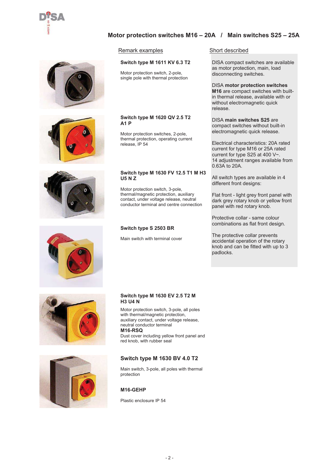

# **Motor protection switches M16 – 20A / Main switches S25 – 25A**

#### Remark examples Short described

#### **Switch type M 1611 KV 6.3 T2**

Motor protection switch, 2-pole, single pole with thermal protection

#### **Switch type M 1620 QV 2.5 T2 A1 P**

Motor protection switches, 2-pole, thermal protection, operating current release, IP 54

#### **Switch type M 1630 FV 12.5 T1 M H3 U5 N Z**

Motor protection switch, 3-pole, thermal/magnetic protection, auxiliary contact, under voltage release, neutral conductor terminal and centre connection

#### **Switch type S 2503 BR**

Main switch with terminal cover

DISA compact switches are available as motor protection, main, load disconnecting switches.

DISA **motor protection switches M16** are compact switches with builtin thermal release, available with or without electromagnetic quick release.

DISA **main switches S25** are compact switches without built-in electromagnetic quick release.

Electrical characteristics: 20A rated current for type M16 or 25A rated current for type S25 at 400 V~. 14 adjustment ranges available from 0.63A to 20A.

All switch types are available in 4 different front designs:

Flat front - light grey front panel with dark grey rotary knob or yellow front panel with red rotary knob.

Protective collar - same colour combinations as flat front design.

The protective collar prevents accidental operation of the rotary knob and can be fitted with up to 3 padlocks.







#### **Switch type M 1630 EV 2.5 T2 M H3 U4 N**

Motor protection switch, 3-pole, all poles with thermal/magnetic protection. auxiliary contact, under voltage release, neutral conductor terminal **M16-RSQ** Dust cover including yellow front panel and red knob, with rubber seal

#### **Switch type M 1630 BV 4.0 T2**

Main switch, 3-pole, all poles with thermal protection

#### **M16-GEHP**

Plastic enclosure IP 54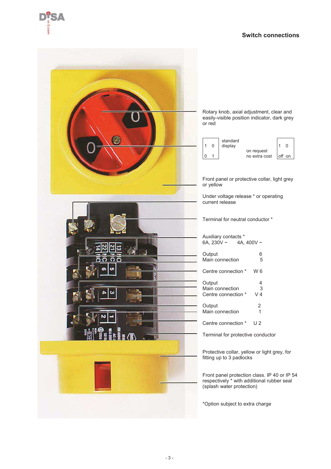



Rotary knob, axial adjustment, clear and easily-visible position indicator, dark grey or red

|  | standard<br>display |                             |        |
|--|---------------------|-----------------------------|--------|
|  |                     | on request<br>no extra cost | off on |

Front panel or protective collar, light grey or yellow

Under voltage release \* or operating current release

Terminal for neutral conductor \*

| Auxiliary contacts *<br>4A. $400V \sim$<br>6A, 230V ~ |                |
|-------------------------------------------------------|----------------|
| Output                                                | 6              |
| Main connection                                       | 5              |
| Centre connection *                                   | W 6            |
| Output                                                | 4              |
| Main connection                                       | $\overline{3}$ |

Centre connection \* V 4 Output 2<br>Main connection 1 Main connection

Centre connection \* U 2

Terminal for protective conductor

Protective collar, yellow or light grey, for fitting up to 3 padlocks

Front panel protection class. IP 40 or IP 54 respectively \* with additional rubber seal (splash water protection)

\*Option subject to extra charge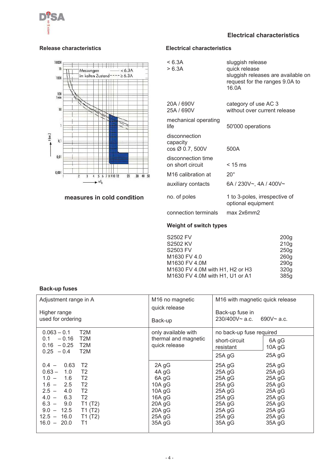

# **Electrical characteristics**



### **measures in cold condition**

# **Release characteristics Electrical characteristics**

| sluggish release<br>quick release<br>sluggish releases are available on<br>request for the ranges 9.0A to<br>16.0A |
|--------------------------------------------------------------------------------------------------------------------|
| category of use AC 3<br>without over current release                                                               |
| 50'000 operations                                                                                                  |
| 500A                                                                                                               |
| $< 15$ ms                                                                                                          |
| $20^{\circ}$                                                                                                       |
| 6A / 230V~, 4A / 400V~                                                                                             |
| 1 to 3-poles, irrespective of<br>optional equipment                                                                |
| max 2x6mm2                                                                                                         |
|                                                                                                                    |

# **Weight of switch types**

| 200q             |
|------------------|
|                  |
| 210 <sub>g</sub> |
| 250g             |
| 260g             |
| 290 <sub>g</sub> |
| 320g             |
| 385g             |
|                  |

### **Back-up fuses**

| Adjustment range in A<br>Higher range<br>used for ordering                                                                                                                                                                                                                                                                | M <sub>16</sub> no magnetic<br>quick release<br>Back-up                                                 | M <sub>16</sub> with magnetic quick release<br>Back-up fuse in<br>$230/400V \sim a.c.$ 690V $\sim a.c.$                                                                                                                      |  |  |  |  |  |  |
|---------------------------------------------------------------------------------------------------------------------------------------------------------------------------------------------------------------------------------------------------------------------------------------------------------------------------|---------------------------------------------------------------------------------------------------------|------------------------------------------------------------------------------------------------------------------------------------------------------------------------------------------------------------------------------|--|--|--|--|--|--|
| $0.063 - 0.1$<br>T <sub>2</sub> M<br>T <sub>2</sub> M<br>$-0.16$<br>0.1<br>$0.16 - 0.25$ T2M<br>T <sub>2</sub> M<br>$0.25 - 0.4$                                                                                                                                                                                          | only available with<br>thermal and magnetic<br>quick release                                            | no back-up fuse required<br>6A gG<br>short-circuit<br>10A gG<br>resistant<br>$25A$ gG<br>25A gG                                                                                                                              |  |  |  |  |  |  |
| 0.63<br>T <sub>2</sub><br>$0.4 -$<br>$0.63 -$<br>1.0<br>T <sub>2</sub><br>$1.0 - 1.6$<br>T <sub>2</sub><br>$1.6 - 2.5$<br>T <sub>2</sub><br>T <sub>2</sub><br>$2.5 -$<br>4.0<br>6.3<br>$4.0 -$<br>T <sub>2</sub><br>T1(T2)<br>$6.3 -$<br>9.0<br>T1 (T2)<br>$9.0 - 12.5$<br>$12.5 - 16.0$<br>T1(T2)<br>$16.0 - 20.0$<br>T1 | 2A gG<br>4A gG<br>6A gG<br>10A $g$ G<br>10A $g$ G<br>16A gG<br>$20A$ gG<br>$20A$ gG<br>25A gG<br>35A gG | 25A gG<br>25A gG<br>$25A$ gG<br>$25A$ gG<br>25A gG<br>$25A$ gG<br>$25A$ gG<br>$25A$ gG<br>$25A$ gG<br>25A gG<br>$25A$ gG<br>25A gG<br>25A gG<br>$25A$ gG<br>$25A$ gG<br>$25A$ gG<br>25A gG<br>25A gG<br>$35A$ gG<br>$35A$ gG |  |  |  |  |  |  |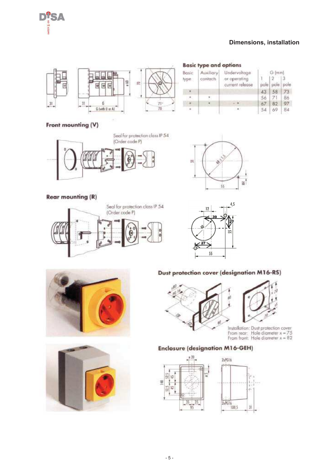

# **Dimensions, installation**



|               | <b>Basic type and options</b> |                                                 |                  |                |    |
|---------------|-------------------------------|-------------------------------------------------|------------------|----------------|----|
| Basic<br>type | Auxiliary<br>contacts         | Undervoltage<br>or operating<br>current release | $\alpha$<br>pole | G (mm)<br>pole |    |
|               |                               |                                                 | 43               | 58             |    |
|               |                               |                                                 | 56               | 21             | 86 |
|               |                               |                                                 |                  | $-82$          | 97 |
|               |                               |                                                 | 54               | -69            | Ba |

#### Front mounting (V)



## **Rear mounting (R)**











#### Dust protection cover (designation M16-RS)



From rear: Hole diameter  $x = 75$ <br>From front: Hole diameter  $x = 82$ 

### **Enclosure (designation M16-GEH)**